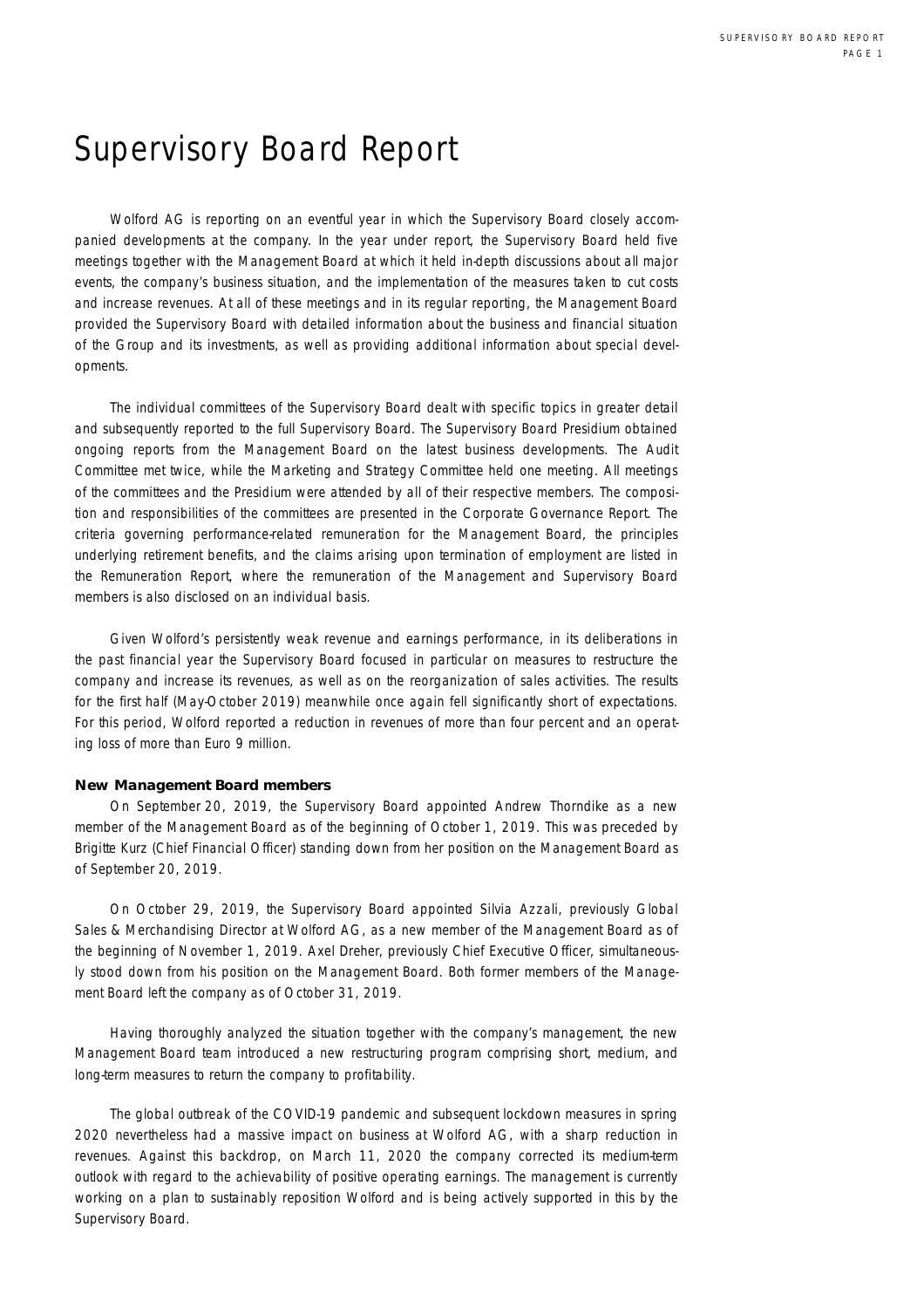## Supervisory Board Report

Wolford AG is reporting on an eventful year in which the Supervisory Board closely accompanied developments at the company. In the year under report, the Supervisory Board held five meetings together with the Management Board at which it held in-depth discussions about all major events, the company's business situation, and the implementation of the measures taken to cut costs and increase revenues. At all of these meetings and in its regular reporting, the Management Board provided the Supervisory Board with detailed information about the business and financial situation of the Group and its investments, as well as providing additional information about special developments.

The individual committees of the Supervisory Board dealt with specific topics in greater detail and subsequently reported to the full Supervisory Board. The Supervisory Board Presidium obtained ongoing reports from the Management Board on the latest business developments. The Audit Committee met twice, while the Marketing and Strategy Committee held one meeting. All meetings of the committees and the Presidium were attended by all of their respective members. The composition and responsibilities of the committees are presented in the Corporate Governance Report. The criteria governing performance-related remuneration for the Management Board, the principles underlying retirement benefits, and the claims arising upon termination of employment are listed in the Remuneration Report, where the remuneration of the Management and Supervisory Board members is also disclosed on an individual basis.

Given Wolford's persistently weak revenue and earnings performance, in its deliberations in the past financial year the Supervisory Board focused in particular on measures to restructure the company and increase its revenues, as well as on the reorganization of sales activities. The results for the first half (May-October 2019) meanwhile once again fell significantly short of expectations. For this period, Wolford reported a reduction in revenues of more than four percent and an operating loss of more than Euro 9 million.

## **New Management Board members**

On September 20, 2019, the Supervisory Board appointed Andrew Thorndike as a new member of the Management Board as of the beginning of October 1, 2019. This was preceded by Brigitte Kurz (Chief Financial Officer) standing down from her position on the Management Board as of September 20, 2019.

On October 29, 2019, the Supervisory Board appointed Silvia Azzali, previously Global Sales & Merchandising Director at Wolford AG, as a new member of the Management Board as of the beginning of November 1, 2019. Axel Dreher, previously Chief Executive Officer, simultaneously stood down from his position on the Management Board. Both former members of the Management Board left the company as of October 31, 2019.

Having thoroughly analyzed the situation together with the company's management, the new Management Board team introduced a new restructuring program comprising short, medium, and long-term measures to return the company to profitability.

The global outbreak of the COVID-19 pandemic and subsequent lockdown measures in spring 2020 nevertheless had a massive impact on business at Wolford AG, with a sharp reduction in revenues. Against this backdrop, on March 11, 2020 the company corrected its medium-term outlook with regard to the achievability of positive operating earnings. The management is currently working on a plan to sustainably reposition Wolford and is being actively supported in this by the Supervisory Board.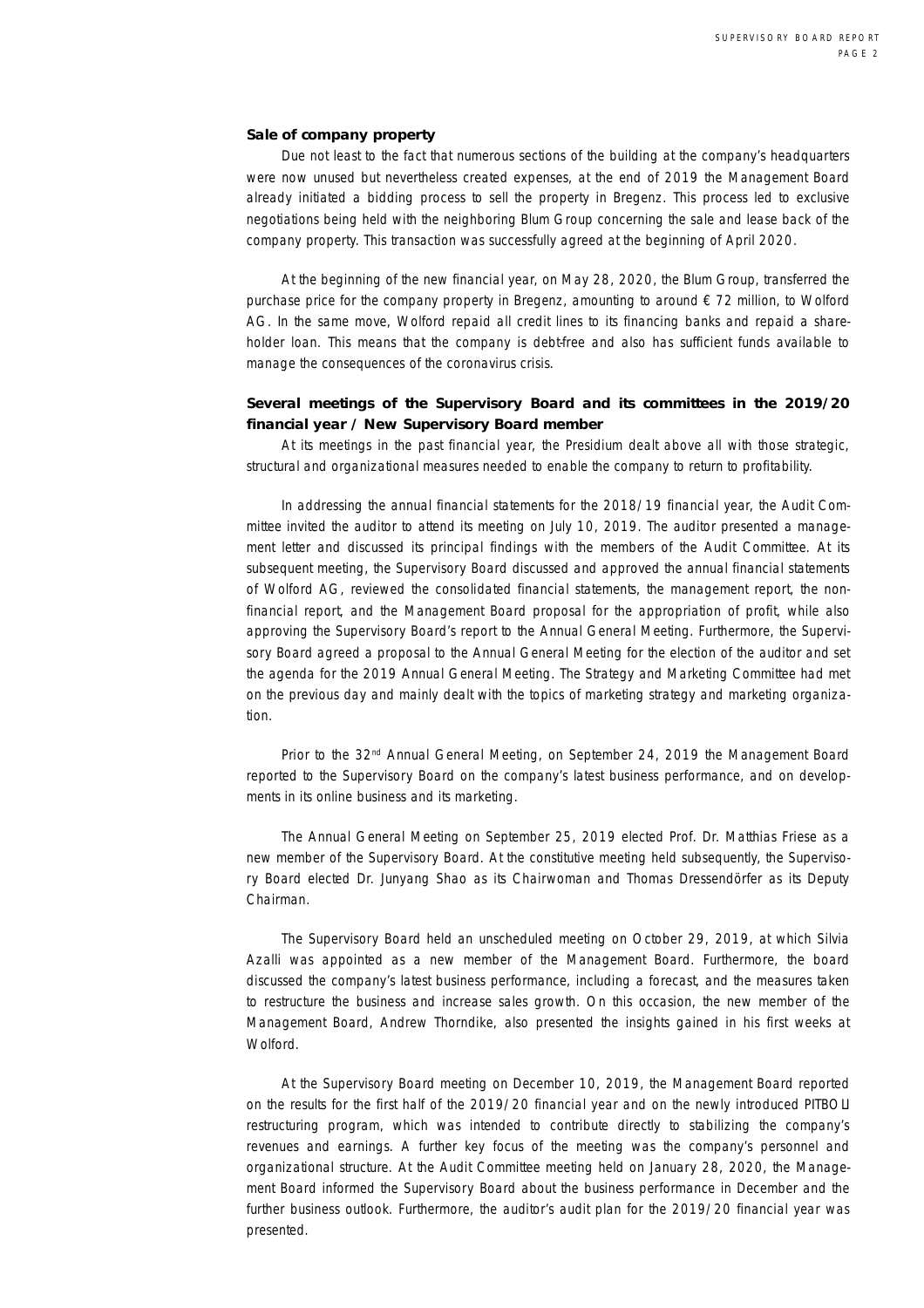## **Sale of company property**

Due not least to the fact that numerous sections of the building at the company's headquarters were now unused but nevertheless created expenses, at the end of 2019 the Management Board already initiated a bidding process to sell the property in Bregenz. This process led to exclusive negotiations being held with the neighboring Blum Group concerning the sale and lease back of the company property. This transaction was successfully agreed at the beginning of April 2020.

At the beginning of the new financial year, on May 28, 2020, the Blum Group, transferred the purchase price for the company property in Bregenz, amounting to around € 72 million, to Wolford AG. In the same move, Wolford repaid all credit lines to its financing banks and repaid a shareholder loan. This means that the company is debt-free and also has sufficient funds available to manage the consequences of the coronavirus crisis.

**Several meetings of the Supervisory Board and its committees in the 2019/20 financial year / New Supervisory Board member** 

At its meetings in the past financial year, the Presidium dealt above all with those strategic, structural and organizational measures needed to enable the company to return to profitability.

In addressing the annual financial statements for the 2018/19 financial year, the Audit Committee invited the auditor to attend its meeting on July 10, 2019. The auditor presented a management letter and discussed its principal findings with the members of the Audit Committee. At its subsequent meeting, the Supervisory Board discussed and approved the annual financial statements of Wolford AG, reviewed the consolidated financial statements, the management report, the nonfinancial report, and the Management Board proposal for the appropriation of profit, while also approving the Supervisory Board's report to the Annual General Meeting. Furthermore, the Supervisory Board agreed a proposal to the Annual General Meeting for the election of the auditor and set the agenda for the 2019 Annual General Meeting. The Strategy and Marketing Committee had met on the previous day and mainly dealt with the topics of marketing strategy and marketing organization.

Prior to the 32<sup>nd</sup> Annual General Meeting, on September 24, 2019 the Management Board reported to the Supervisory Board on the company's latest business performance, and on developments in its online business and its marketing.

The Annual General Meeting on September 25, 2019 elected Prof. Dr. Matthias Friese as a new member of the Supervisory Board. At the constitutive meeting held subsequently, the Supervisory Board elected Dr. Junyang Shao as its Chairwoman and Thomas Dressendörfer as its Deputy Chairman.

The Supervisory Board held an unscheduled meeting on October 29, 2019, at which Silvia Azalli was appointed as a new member of the Management Board. Furthermore, the board discussed the company's latest business performance, including a forecast, and the measures taken to restructure the business and increase sales growth. On this occasion, the new member of the Management Board, Andrew Thorndike, also presented the insights gained in his first weeks at Wolford.

At the Supervisory Board meeting on December 10, 2019, the Management Board reported on the results for the first half of the 2019/20 financial year and on the newly introduced PITBOLI restructuring program, which was intended to contribute directly to stabilizing the company's revenues and earnings. A further key focus of the meeting was the company's personnel and organizational structure. At the Audit Committee meeting held on January 28, 2020, the Management Board informed the Supervisory Board about the business performance in December and the further business outlook. Furthermore, the auditor's audit plan for the 2019/20 financial year was presented.